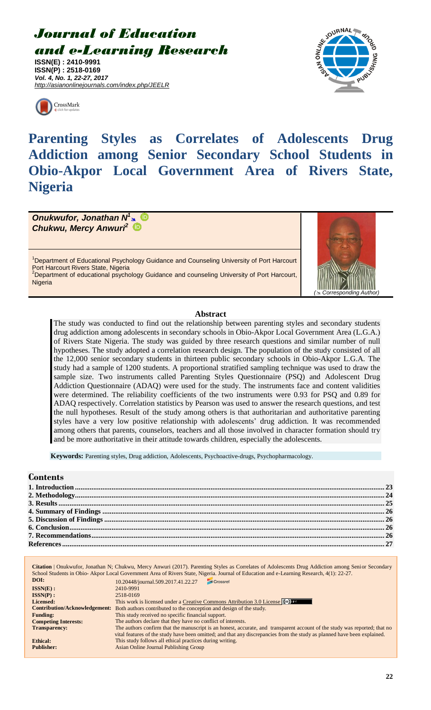# *Journal of Education and e-Learning Research*

**ISSN(E) : 2410-9991 ISSN(P) : 2518-0169** *Vol. 4, No. 1, 22-27, 2017 http://asianonlinejournals.com/index.php/JEELR*





**Parenting Styles as Correlates of Adolescents Drug Addiction among Senior Secondary School Students in Obio-Akpor Local Government Area of Rivers State, Nigeria**

*Onukwufor, Jonathan N 1 Chukwu, Mercy Anwuri<sup>2</sup>*

<sup>1</sup>Department of Educational Psychology Guidance and Counseling University of Port Harcourt Port Harcourt Rivers State, Nigeria <sup>2</sup>Department of educational psychology Guidance and counseling University of Port Harcourt, **Nigeria** 



## **Abstract**

The study was conducted to find out the relationship between parenting styles and secondary students drug addiction among adolescents in secondary schools in Obio-Akpor Local Government Area (L.G.A.) of Rivers State Nigeria. The study was guided by three research questions and similar number of null hypotheses. The study adopted a correlation research design. The population of the study consisted of all the 12,000 senior secondary students in thirteen public secondary schools in Obio-Akpor L.G.A. The study had a sample of 1200 students. A proportional stratified sampling technique was used to draw the sample size. Two instruments called Parenting Styles Questionnaire (PSQ) and Adolescent Drug Addiction Questionnaire (ADAQ) were used for the study. The instruments face and content validities were determined. The reliability coefficients of the two instruments were 0.93 for PSQ and 0.89 for ADAQ respectively. Correlation statistics by Pearson was used to answer the research questions, and test the null hypotheses. Result of the study among others is that authoritarian and authoritative parenting styles have a very low positive relationship with adolescents' drug addiction. It was recommended among others that parents, counselors, teachers and all those involved in character formation should try and be more authoritative in their attitude towards children, especially the adolescents.

**Keywords:** Parenting styles, Drug addiction, Adolescents, Psychoactive-drugs, Psychopharmacology.

## **Contents**

|                             | <b>Citation</b>   Onukwufor, Jonathan N; Chukwu, Mercy Anwuri (2017). Parenting Styles as Correlates of Adolescents Drug Addiction among Senior Secondary<br>School Students in Obio-Akpor Local Government Area of Rivers State, Nigeria. Journal of Education and e-Learning Research, 4(1): 22-27. |
|-----------------------------|-------------------------------------------------------------------------------------------------------------------------------------------------------------------------------------------------------------------------------------------------------------------------------------------------------|
| DOI:                        | Crossref<br>10.20448/journal.509.2017.41.22.27                                                                                                                                                                                                                                                        |
| $ISSN(E)$ :                 | 2410-9991                                                                                                                                                                                                                                                                                             |
| $ISSN(P)$ :                 | 2518-0169                                                                                                                                                                                                                                                                                             |
| Licensed:                   | This work is licensed under a Creative Commons Attribution 3.0 License $\infty$                                                                                                                                                                                                                       |
|                             | <b>Contribution/Acknowledgement:</b> Both authors contributed to the conception and design of the study.                                                                                                                                                                                              |
| <b>Funding:</b>             | This study received no specific financial support.                                                                                                                                                                                                                                                    |
| <b>Competing Interests:</b> | The authors declare that they have no conflict of interests.                                                                                                                                                                                                                                          |
| <b>Transparency:</b>        | The authors confirm that the manuscript is an honest, accurate, and transparent account of the study was reported; that no                                                                                                                                                                            |
|                             | vital features of the study have been omitted; and that any discrepancies from the study as planned have been explained.                                                                                                                                                                              |
| <b>Ethical:</b>             | This study follows all ethical practices during writing.                                                                                                                                                                                                                                              |
| <b>Publisher:</b>           | Asian Online Journal Publishing Group                                                                                                                                                                                                                                                                 |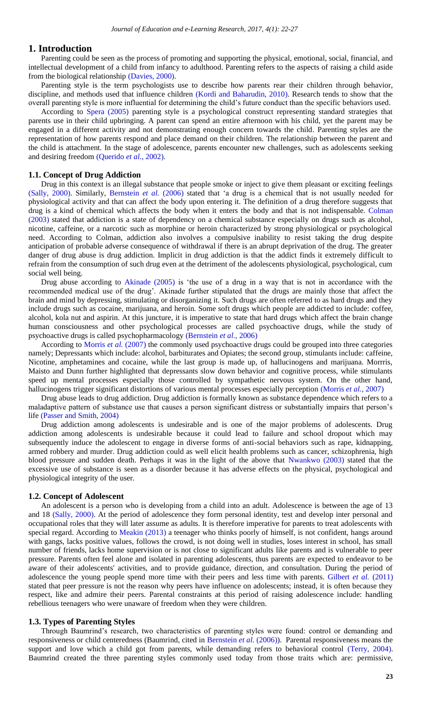#### <span id="page-1-0"></span>**1. Introduction**

Parenting could be seen as the process of promoting and supporting the [physical,](https://en.wikipedia.org/wiki/Physical_fitness) [emotional,](https://en.wikipedia.org/wiki/Emotion) [social,](https://en.wikipedia.org/wiki/Social_development) financial, and [intellectual development](https://en.wikipedia.org/wiki/Intellectual_development) of a [child](https://en.wikipedia.org/wiki/Child) from [infancy](https://en.wikipedia.org/wiki/Infant) to [adulthood.](https://en.wikipedia.org/wiki/Adult) Parenting refers to the aspects of raising a child aside from the biological relationship [\(Davies, 2000\)](#page-5-1).

Parenting style is the term psychologists use to describe how parents rear their children through behavior, discipline, and methods used that influence children [\(Kordi and Baharudin, 2010\)](#page-5-2). Research tends to show that the overall parenting style is more influential for determining the child's future conduct than the specific behaviors used.

According to [Spera \(2005\)](#page-5-3) parenting style is a psychological construct representing standard strategies that parents use in their child upbringing. A parent can spend an entire afternoon with his child, yet the parent may be engaged in a different activity and not demonstrating enough concern towards the child. Parenting styles are the representation of how parents respond and place demand on their children. The relationship between the parent and the child is attachment. In the stage of adolescence, parents encounter new challenges, such as adolescents seeking and desiring freedom [\(Querido](#page-5-4) *et al.*, 2002).

#### **1.1. Concept of Drug Addiction**

Drug in this context is an illegal substance that people smoke or inject to give them pleasant or exciting feelings [\(Sally, 2000\)](#page-5-5). Similarly, [Bernstein](#page-5-6) *et al.* (2006) stated that 'a drug is a chemical that is not usually needed for physiological activity and that can affect the body upon entering it. The definition of a drug therefore suggests that drug is a kind of chemical which affects the body when it enters the body and that is not indispensable. [Colman](#page-5-7)  [\(2003\)](#page-5-7) stated that addiction is a state of dependency on a chemical substance especially on drugs such as alcohol, nicotine, caffeine, or a narcotic such as morphine or heroin characterized by strong physiological or psychological need. According to Colman, addiction also involves a compulsive inability to resist taking the drug despite anticipation of probable adverse consequence of withdrawal if there is an abrupt deprivation of the drug. The greater danger of drug abuse is drug addiction. Implicit in drug addiction is that the addict finds it extremely difficult to refrain from the consumption of such drug even at the detriment of the adolescents physiological, psychological, cum social well being.

Drug abuse according to [Akinade \(2005\)](#page-5-8) is 'the use of a drug in a way that is not in accordance with the recommended medical use of the drug'. Akinade further stipulated that the drugs are mainly those that affect the brain and mind by depressing, stimulating or disorganizing it. Such drugs are often referred to as hard drugs and they include drugs such as cocaine, marijuana, and heroin. Some soft drugs which people are addicted to include: coffee, alcohol, kola nut and aspirin. At this juncture, it is imperative to state that hard drugs which affect the brain change human consciousness and other psychological processes are called psychoactive drugs, while the study of psychoactive drugs is called psychopharmacology [\(Bernstein](#page-5-6) *et al.*, 2006)

According to [Morris](#page-5-9) *et al.* (2007) the commonly used psychoactive drugs could be grouped into three categories namely; Depressants which include: alcohol, barbiturates and Opiates; the second group, stimulants include: caffeine, Nicotine, amphetamines and cocaine, while the last group is made up, of hallucinogens and marijuana. Morrris, Maisto and Dunn further highlighted that depressants slow down behavior and cognitive process, while stimulants speed up mental processes especially those controlled by sympathetic nervous system. On the other hand, hallucinogens trigger significant distortions of various mental processes especially perception [\(Morris](#page-5-9) *et al.*, 2007)

Drug abuse leads to drug addiction. Drug addiction is formally known as substance dependence which refers to a maladaptive pattern of substance use that causes a person significant distress or substantially impairs that person's life [\(Passer and Smith, 2004\)](#page-5-10)

Drug addiction among adolescents is undesirable and is one of the major problems of adolescents. Drug addiction among adolescents is undesirable because it could lead to failure and school dropout which may subsequently induce the adolescent to engage in diverse forms of anti-social behaviors such as rape, kidnapping, armed robbery and murder. Drug addiction could as well elicit health problems such as cancer, schizophrenia, high blood pressure and sudden death. Perhaps it was in the light of the above that [Nwankwo \(2003\)](#page-5-11) stated that the excessive use of substance is seen as a disorder because it has adverse effects on the physical, psychological and physiological integrity of the user.

#### **1.2. Concept of Adolescent**

An adolescent is a person who is developing from a child into an adult. Adolescence is between the age of 13 and 18 [\(Sally, 2000\)](#page-5-5). At the period of adolescence they form personal identity, test and develop inter personal and occupational roles that they will later assume as adults. It is therefore imperative for parents to treat adolescents with special regard. According to [Meakin \(2013\)](#page-5-12) a teenager who thinks poorly of himself, is not confident, hangs around with gangs, lacks positive values, follows the crowd, is not doing well in studies, loses interest in school, has small number of friends, lacks home supervision or is not close to significant adults like parents and is vulnerable to peer pressure. Parents often feel alone and isolated in parenting adolescents, thus parents are expected to endeavor to be aware of their adolescents' activities, and to provide guidance, direction, and consultation. During the period of adolescence the young people spend more time with their peers and less time with parents. [Gilbert](#page-5-13) *et al.* (2011) stated that peer pressure is not the reason why peers have influence on adolescents; instead, it is often because they respect, like and admire their peers. Parental constraints at this period of raising adolescence include: handling rebellious teenagers who were unaware of freedom when they were children.

#### **1.3. Types of Parenting Styles**

Through Baumrind's research, two characteristics of parenting styles were found: control or demanding and responsiveness or child centeredness (Baumrind, cited in [Bernstein](#page-5-6) *et al.* (2006)). Parental responsiveness means the support and love which a child got from parents, while demanding refers to behavioral control [\(Terry, 2004\)](#page-5-14). Baumrind created the three parenting styles commonly used today from those traits which are: permissive,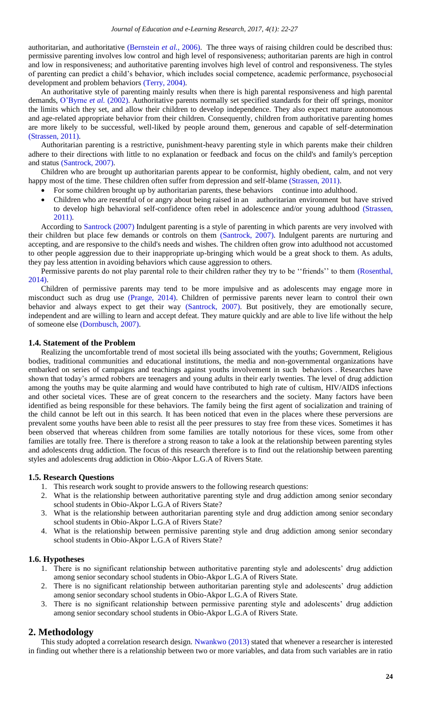authoritarian, and authoritative [\(Bernstein](#page-5-6) *et al.*, 2006). The three ways of raising children could be described thus: permissive parenting involves low control and high level of responsiveness; authoritarian parents are high in control and low in responsiveness; and authoritative parenting involves high level of control and responsiveness. The styles of parenting can predict a child's behavior, which includes social competence, academic performance, psychosocial development and problem behaviors [\(Terry, 2004\)](#page-5-14).

An authoritative style of parenting mainly results when there is high parental responsiveness and high parental demands, [O'Byrne](#page-5-15) *et al.* (2002). Authoritative parents normally set specified standards for their off springs, monitor the limits which they set, and allow their children to develop independence. They also expect mature autonomous and age-related appropriate behavior from their children. Consequently, children from authoritative parenting homes are more likely to be successful, well-liked by people around them, generous and capable of self-determination [\(Strassen, 2011\)](#page-5-16).

Authoritarian parenting is a restrictive, punishment-heavy parenting style in which parents make their children adhere to their directions with little to no explanation or feedback and focus on the child's and family's perception and status [\(Santrock, 2007\)](#page-5-17).

Children who are brought up authoritarian parents appear to be conformist, highly obedient, calm, and not very happy most of the time. These children often suffer from depression and self-blame [\(Strassen, 2011\)](#page-5-16).

- For some children brought up by authoritarian parents, these behaviors continue into adulthood.
- Children who are resentful of or angry about being raised in an authoritarian environment but have strived to develop high behavioral self-confidence often rebel in adolescence and/or young adulthood [\(Strassen,](#page-5-16)  [2011\)](#page-5-16).

According to [Santrock \(2007\)](#page-5-17) Indulgent parenting is a style of parenting in which parents are very involved with their children but place few demands or controls on them [\(Santrock, 2007\)](#page-5-17). Indulgent parents are nurturing and accepting, and are responsive to the child's needs and wishes. The children often grow into adulthood not accustomed to other people aggression due to their inappropriate up-bringing which would be a great shock to them. As adults, they pay less attention in avoiding behaviors which cause aggression to others.

Permissive parents do not play parental role to their children rather they try to be ''friends'' to them [\(Rosenthal,](#page-5-18)  [2014\)](#page-5-18).

Children of permissive parents may tend to be more impulsive and as adolescents may engage more in misconduct such as drug use [\(Prange, 2014\)](#page-5-19). Children of permissive parents never learn to control their own behavior and always expect to get their way [\(Santrock, 2007\)](#page-5-17). But positively, they are emotionally secure, independent and are willing to learn and accept defeat. They mature quickly and are able to live life without the help of someone else [\(Dornbusch, 2007\)](#page-5-20).

#### **1.4. Statement of the Problem**

Realizing the uncomfortable trend of most societal ills being associated with the youths; Government, Religious bodies, traditional communities and educational institutions, the media and non-governmental organizations have embarked on series of campaigns and teachings against youths involvement in such behaviors . Researches have shown that today's armed robbers are teenagers and young adults in their early twenties. The level of drug addiction among the youths may be quite alarming and would have contributed to high rate of cultism, HIV/AIDS infections and other societal vices. These are of great concern to the researchers and the society. Many factors have been identified as being responsible for these behaviors. The family being the first agent of socialization and training of the child cannot be left out in this search. It has been noticed that even in the places where these perversions are prevalent some youths have been able to resist all the peer pressures to stay free from these vices. Sometimes it has been observed that whereas children from some families are totally notorious for these vices, some from other families are totally free. There is therefore a strong reason to take a look at the relationship between parenting styles and adolescents drug addiction. The focus of this research therefore is to find out the relationship between parenting styles and adolescents drug addiction in Obio-Akpor L.G.A of Rivers State.

## **1.5. Research Questions**

- 1. This research work sought to provide answers to the following research questions:
- 2. What is the relationship between authoritative parenting style and drug addiction among senior secondary school students in Obio-Akpor L.G.A of Rivers State?
- 3. What is the relationship between authoritarian parenting style and drug addiction among senior secondary school students in Obio-Akpor L.G.A of Rivers State?
- 4. What is the relationship between permissive parenting style and drug addiction among senior secondary school students in Obio-Akpor L.G.A of Rivers State?

#### **1.6. Hypotheses**

- 1. There is no significant relationship between authoritative parenting style and adolescents' drug addiction among senior secondary school students in Obio-Akpor L.G.A of Rivers State.
- 2. There is no significant relationship between authoritarian parenting style and adolescents' drug addiction among senior secondary school students in Obio-Akpor L.G.A of Rivers State.
- 3. There is no significant relationship between permissive parenting style and adolescents' drug addiction among senior secondary school students in Obio-Akpor L.G.A of Rivers State.

## <span id="page-2-0"></span>**2. Methodology**

This study adopted a correlation research design. [Nwankwo \(2013\)](#page-5-21) stated that whenever a researcher is interested in finding out whether there is a relationship between two or more variables, and data from such variables are in ratio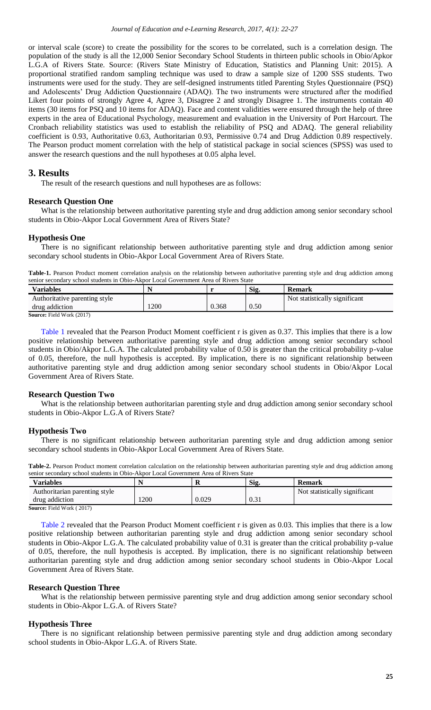or interval scale (score) to create the possibility for the scores to be correlated, such is a correlation design. The population of the study is all the 12,000 Senior Secondary School Students in thirteen public schools in Obio/Apkor L.G.A of Rivers State. Source: (Rivers State Ministry of Education, Statistics and Planning Unit: 2015). A proportional stratified random sampling technique was used to draw a sample size of 1200 SSS students. Two instruments were used for the study. They are self-designed instruments titled Parenting Styles Questionnaire (PSQ) and Adolescents' Drug Addiction Questionnaire (ADAQ). The two instruments were structured after the modified Likert four points of strongly Agree 4, Agree 3, Disagree 2 and strongly Disagree 1. The instruments contain 40 items (30 items for PSQ and 10 items for ADAQ). Face and content validities were ensured through the help of three experts in the area of Educational Psychology, measurement and evaluation in the University of Port Harcourt. The Cronbach reliability statistics was used to establish the reliability of PSQ and ADAQ. The general reliability coefficient is 0.93, Authoritative 0.63, Authoritarian 0.93, Permissive 0.74 and Drug Addiction 0.89 respectively. The Pearson product moment correlation with the help of statistical package in social sciences (SPSS) was used to answer the research questions and the null hypotheses at 0.05 alpha level.

# <span id="page-3-0"></span>**3. Results**

The result of the research questions and null hypotheses are as follows:

#### **Research Question One**

What is the relationship between authoritative parenting style and drug addiction among senior secondary school students in Obio-Akpor Local Government Area of Rivers State?

#### **Hypothesis One**

There is no significant relationship between authoritative parenting style and drug addiction among senior secondary school students in Obio-Akpor Local Government Area of Rivers State.

<span id="page-3-1"></span>Table-1. Pearson Product moment correlation analysis on the relationship between authoritative parenting style and drug addiction among senior secondary school students in Obio-Akpor Local Government Area of Rivers State

| <b>Variables</b>                 |      |       | Sig. | Remark                        |
|----------------------------------|------|-------|------|-------------------------------|
| Authoritative parenting style    |      |       |      | Not statistically significant |
| drug addiction                   | .200 | 0.368 | 0.50 |                               |
| <b>Source:</b> Field Work (2017) |      |       |      |                               |

[Table 1](#page-3-1) revealed that the Pearson Product Moment coefficient r is given as 0.37. This implies that there is a low positive relationship between authoritative parenting style and drug addiction among senior secondary school students in Obio/Akpor L.G.A. The calculated probability value of 0.50 is greater than the critical probability p-value of 0.05, therefore, the null hypothesis is accepted. By implication, there is no significant relationship between authoritative parenting style and drug addiction among senior secondary school students in Obio/Akpor Local Government Area of Rivers State.

## **Research Question Two**

What is the relationship between authoritarian parenting style and drug addiction among senior secondary school students in Obio-Akpor L.G.A of Rivers State?

## **Hypothesis Two**

There is no significant relationship between authoritarian parenting style and drug addiction among senior secondary school students in Obio-Akpor Local Government Area of Rivers State.

<span id="page-3-2"></span>

|                                                                                      | Table-2. Pearson Product moment correlation calculation on the relationship between authoritarian parenting style and drug addiction among |
|--------------------------------------------------------------------------------------|--------------------------------------------------------------------------------------------------------------------------------------------|
| senior secondary school students in Obio-Akpor Local Government Area of Rivers State |                                                                                                                                            |

| Variables                            |     | к     | Sig. | Remark                        |
|--------------------------------------|-----|-------|------|-------------------------------|
| Authoritarian parenting style        |     |       |      | Not statistically significant |
| drug addiction                       | 200 | 0.029 | 0.31 |                               |
| <b>Source:</b> Field Work ( $2017$ ) |     |       |      |                               |

**Source:** Field Work ( 2017)

[Table 2](#page-3-2) revealed that the Pearson Product Moment coefficient r is given as 0.03. This implies that there is a low positive relationship between authoritarian parenting style and drug addiction among senior secondary school students in Obio-Akpor L.G.A. The calculated probability value of 0.31 is greater than the critical probability p-value of 0.05, therefore, the null hypothesis is accepted. By implication, there is no significant relationship between authoritarian parenting style and drug addiction among senior secondary school students in Obio-Akpor Local Government Area of Rivers State.

## **Research Question Three**

What is the relationship between permissive parenting style and drug addiction among senior secondary school students in Obio-Akpor L.G.A. of Rivers State?

## **Hypothesis Three**

There is no significant relationship between permissive parenting style and drug addiction among secondary school students in Obio-Akpor L.G.A. of Rivers State.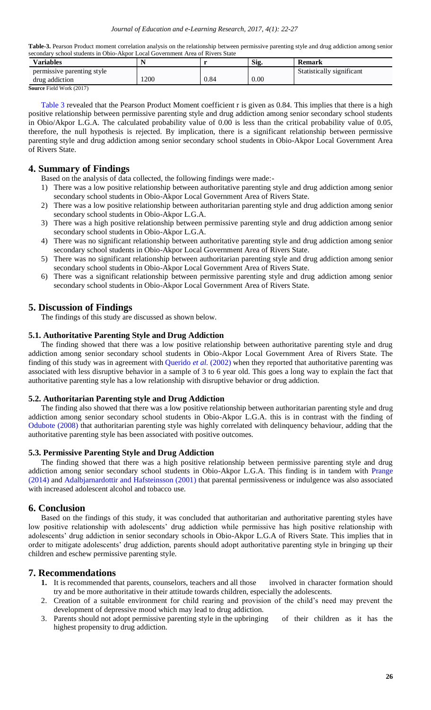<span id="page-4-4"></span>**Table-3.** Pearson Product moment correlation analysis on the relationship between permissive parenting style and drug addiction among senior secondary school students in Obio-Akpor Local Government Area of Rivers State

| Sig.<br><b>Remark</b>     |     | <b>Variables</b>                                                                             |
|---------------------------|-----|----------------------------------------------------------------------------------------------|
| Statistically significant |     | permissive parenting style                                                                   |
| 0.00<br>0.84              | 200 | drug addiction                                                                               |
|                           |     | $C_{\text{source}} = \Gamma_{\text{eff}}^{\text{t}} = 1.1 \text{ W} = 1.1 \text{ m} = 0.017$ |

**Source** Field Work (2017)

[Table 3](#page-4-4) revealed that the Pearson Product Moment coefficient r is given as 0.84. This implies that there is a high positive relationship between permissive parenting style and drug addiction among senior secondary school students in Obio/Akpor L.G.A. The calculated probability value of 0.00 is less than the critical probability value of 0.05, therefore, the null hypothesis is rejected. By implication, there is a significant relationship between permissive parenting style and drug addiction among senior secondary school students in Obio-Akpor Local Government Area of Rivers State.

# <span id="page-4-0"></span>**4. Summary of Findings**

Based on the analysis of data collected, the following findings were made:-

- 1) There was a low positive relationship between authoritative parenting style and drug addiction among senior secondary school students in Obio-Akpor Local Government Area of Rivers State.
- 2) There was a low positive relationship between authoritarian parenting style and drug addiction among senior secondary school students in Obio-Akpor L.G.A.
- 3) There was a high positive relationship between permissive parenting style and drug addiction among senior secondary school students in Obio-Akpor L.G.A.
- 4) There was no significant relationship between authoritative parenting style and drug addiction among senior secondary school students in Obio-Akpor Local Government Area of Rivers State.
- 5) There was no significant relationship between authoritarian parenting style and drug addiction among senior secondary school students in Obio-Akpor Local Government Area of Rivers State.
- 6) There was a significant relationship between permissive parenting style and drug addiction among senior secondary school students in Obio-Akpor Local Government Area of Rivers State.

# <span id="page-4-1"></span>**5. Discussion of Findings**

The findings of this study are discussed as shown below.

# **5.1. Authoritative Parenting Style and Drug Addiction**

The finding showed that there was a low positive relationship between authoritative parenting style and drug addiction among senior secondary school students in Obio-Akpor Local Government Area of Rivers State. The finding of this study was in agreement with [Querido](#page-5-4) *et al.* (2002) when they reported that authoritative parenting was associated with less disruptive behavior in a sample of 3 to 6 year old. This goes a long way to explain the fact that authoritative parenting style has a low relationship with disruptive behavior or drug addiction.

## **5.2. Authoritarian Parenting style and Drug Addiction**

The finding also showed that there was a low positive relationship between authoritarian parenting style and drug addiction among senior secondary school students in Obio-Akpor L.G.A. this is in contrast with the finding of [Odubote \(2008\)](#page-5-22) that authoritarian parenting style was highly correlated with delinquency behaviour, adding that the authoritative parenting style has been associated with positive outcomes.

## **5.3. Permissive Parenting Style and Drug Addiction**

The finding showed that there was a high positive relationship between permissive parenting style and drug addiction among senior secondary school students in Obio-Akpor L.G.A. This finding is in tandem with [Prange](#page-5-19)  [\(2014\)](#page-5-19) and [Adalbjarnardottir and Hafsteinsson \(2001\)](#page-5-23) that parental permissiveness or indulgence was also associated with increased adolescent alcohol and tobacco use.

# <span id="page-4-2"></span>**6. Conclusion**

Based on the findings of this study, it was concluded that authoritarian and authoritative parenting styles have low positive relationship with adolescents' drug addiction while permissive has high positive relationship with adolescents' drug addiction in senior secondary schools in Obio-Akpor L.G.A of Rivers State. This implies that in order to mitigate adolescents' drug addiction, parents should adopt authoritative parenting style in bringing up their children and eschew permissive parenting style.

# <span id="page-4-3"></span>**7. Recommendations**

- **1.** It is recommended that parents, counselors, teachers and all those involved in character formation should try and be more authoritative in their attitude towards children, especially the adolescents.
- 2. Creation of a suitable environment for child rearing and provision of the child's need may prevent the development of depressive mood which may lead to drug addiction.
- 3. Parents should not adopt permissive parenting style in the upbringing of their children as it has the highest propensity to drug addiction.